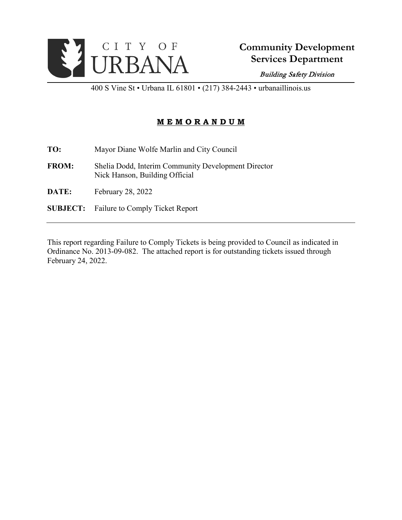

400 S Vine St • Urbana IL 61801 • (217) 384-2443 • urbanaillinois.us

## **M E M O R A N D U M**

**TO:** Mayor Diane Wolfe Marlin and City Council

- **FROM:** Shelia Dodd, Interim Community Development Director Nick Hanson, Building Official
- **DATE:** February 28, 2022
- **SUBJECT:** Failure to Comply Ticket Report

This report regarding Failure to Comply Tickets is being provided to Council as indicated in Ordinance No. 2013-09-082. The attached report is for outstanding tickets issued through February 24, 2022.